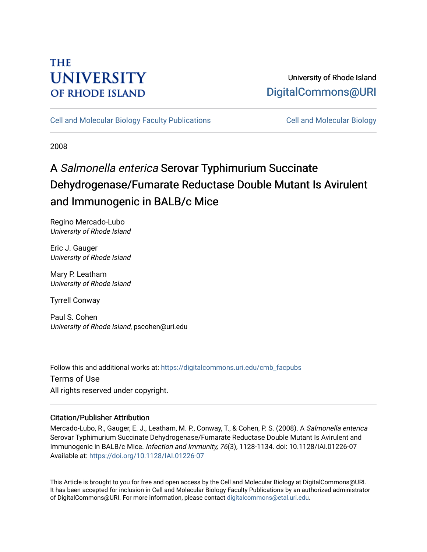## **THE UNIVERSITY OF RHODE ISLAND**

## University of Rhode Island [DigitalCommons@URI](https://digitalcommons.uri.edu/)

[Cell and Molecular Biology Faculty Publications](https://digitalcommons.uri.edu/cmb_facpubs) [Cell and Molecular Biology](https://digitalcommons.uri.edu/cmb) 

2008

# A Salmonella enterica Serovar Typhimurium Succinate Dehydrogenase/Fumarate Reductase Double Mutant Is Avirulent and Immunogenic in BALB/c Mice

Regino Mercado-Lubo University of Rhode Island

Eric J. Gauger University of Rhode Island

Mary P. Leatham University of Rhode Island

Tyrrell Conway

Paul S. Cohen University of Rhode Island, pscohen@uri.edu

Follow this and additional works at: [https://digitalcommons.uri.edu/cmb\\_facpubs](https://digitalcommons.uri.edu/cmb_facpubs?utm_source=digitalcommons.uri.edu%2Fcmb_facpubs%2F42&utm_medium=PDF&utm_campaign=PDFCoverPages)  Terms of Use All rights reserved under copyright.

### Citation/Publisher Attribution

Mercado-Lubo, R., Gauger, E. J., Leatham, M. P., Conway, T., & Cohen, P. S. (2008). A Salmonella enterica Serovar Typhimurium Succinate Dehydrogenase/Fumarate Reductase Double Mutant Is Avirulent and Immunogenic in BALB/c Mice. Infection and Immunity, 76(3), 1128-1134. doi: 10.1128/IAI.01226-07 Available at:<https://doi.org/10.1128/IAI.01226-07>

This Article is brought to you for free and open access by the Cell and Molecular Biology at DigitalCommons@URI. It has been accepted for inclusion in Cell and Molecular Biology Faculty Publications by an authorized administrator of DigitalCommons@URI. For more information, please contact [digitalcommons@etal.uri.edu](mailto:digitalcommons@etal.uri.edu).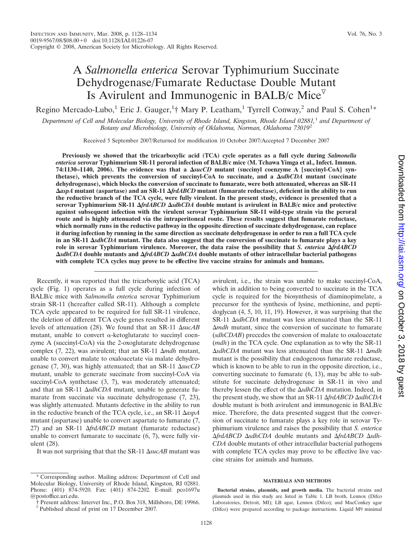### A *Salmonella enterica* Serovar Typhimurium Succinate Dehydrogenase/Fumarate Reductase Double Mutant Is Avirulent and Immunogenic in BALB/c Mice $\overline{V}$

Regino Mercado-Lubo,<sup>1</sup> Eric J. Gauger,<sup>1</sup>† Mary P. Leatham,<sup>1</sup> Tyrrell Conway,<sup>2</sup> and Paul S. Cohen<sup>1\*</sup>

*Department of Cell and Molecular Biology, University of Rhode Island, Kingston, Rhode Island 02881,*<sup>1</sup> *and Department of Botany and Microbiology, University of Oklahoma, Norman, Oklahoma 73019*<sup>2</sup>

Received 5 September 2007/Returned for modification 10 October 2007/Accepted 7 December 2007

**Previously we showed that the tricarboxylic acid (TCA) cycle operates as a full cycle during** *Salmonella enterica* **serovar Typhimurium SR-11 peroral infection of BALB/c mice (M. Tchawa Yimga et al., Infect. Immun. 74:1130–1140, 2006). The evidence was that a** *sucCD* **mutant (succinyl coenzyme A [succinyl-CoA] synthetase), which prevents the conversion of succinyl-CoA to succinate, and a** *sdhCDA* **mutant (succinate dehydrogenase), which blocks the conversion of succinate to fumarate, were both attenuated, whereas an SR-11** *aspA* **mutant (aspartase) and an SR-11** *frdABCD* **mutant (fumarate reductase), deficient in the ability to run the reductive branch of the TCA cycle, were fully virulent. In the present study, evidence is presented that a serovar Typhimurium SR-11** *frdABCD sdhCDA* **double mutant is avirulent in BALB/c mice and protective against subsequent infection with the virulent serovar Typhimurium SR-11 wild-type strain via the peroral route and is highly attenuated via the intraperitoneal route. These results suggest that fumarate reductase, which normally runs in the reductive pathway in the opposite direction of succinate dehydrogenase, can replace it during infection by running in the same direction as succinate dehydrogenase in order to run a full TCA cycle in an SR-11** *sdhCDA* **mutant. The data also suggest that the conversion of succinate to fumarate plays a key role in serovar Typhimurium virulence. Moreover, the data raise the possibility that** *S. enterica frdABCD sdhCDA* **double mutants and** *frdABCD sdhCDA* **double mutants of other intracellular bacterial pathogens with complete TCA cycles may prove to be effective live vaccine strains for animals and humans.**

Recently, it was reported that the tricarboxylic acid (TCA) cycle (Fig. 1) operates as a full cycle during infection of BALB/c mice with *Salmonella enterica* serovar Typhimurium strain SR-11 (hereafter called SR-11). Although a complete TCA cycle appeared to be required for full SR-11 virulence, the deletion of different TCA cycle genes resulted in different levels of attenuation (28). We found that an SR-11  $\Delta$ sucAB mutant, unable to convert  $\alpha$ -ketoglutarate to succinyl coenzyme A (succinyl-CoA) via the 2-oxoglutarate dehydrogenase complex  $(7, 22)$ , was avirulent; that an SR-11  $\Delta$ *mdh* mutant, unable to convert malate to oxaloacetate via malate dehydrogenase (7, 30), was highly attenuated; that an SR-11  $\Delta succCD$ mutant, unable to generate succinate from succinyl-CoA via succinyl-CoA synthetase (3, 7), was moderately attenuated; and that an SR-11  $\Delta$ *sdhCDA* mutant, unable to generate fumarate from succinate via succinate dehydrogenase (7, 23), was slightly attenuated. Mutants defective in the ability to run in the reductive branch of the TCA cycle, i.e., an SR-11  $\Delta$ *aspA* mutant (aspartase) unable to convert aspartate to fumarate (7, 27) and an SR-11  $\Delta frdABCD$  mutant (fumarate reductase) unable to convert fumarate to succinate (6, 7), were fully virulent (28).

It was not surprising that that the SR-11  $\Delta$ *sucAB* mutant was

avirulent, i.e., the strain was unable to make succinyl-CoA, which in addition to being converted to succinate in the TCA cycle is required for the biosynthesis of diaminopimelate, a precursor for the synthesis of lysine, methionine, and peptidoglycan (4, 5, 10, 11, 19). However, it was surprising that the SR-11  $\Delta$ *sdhCDA* mutant was less attenuated than the SR-11 -*mdh* mutant, since the conversion of succinate to fumarate (*sdhCDAB*) precedes the conversion of malate to oxaloacetate (*mdh*) in the TCA cycle. One explanation as to why the SR-11  $\Delta$ *sdhCDA* mutant was less attenuated than the SR-11  $\Delta$ *mdh* mutant is the possibility that endogenous fumarate reductase, which is known to be able to run in the opposite direction, i.e., converting succinate to fumarate (6, 13), may be able to substitute for succinate dehydrogenase in SR-11 in vivo and thereby lessen the effect of the  $\Delta$ *sdhCDA* mutation. Indeed, in the present study, we show that an SR-11 Δ*frdABCD* ΔsdhCDA double mutant is both avirulent and immunogenic in BALB/c mice. Therefore, the data presented suggest that the conversion of succinate to fumarate plays a key role in serovar Typhimurium virulence and raises the possibility that *S. enterica* Δ*frdABCD* ΔsdhCDA double mutants and Δ*frdABCD* Δsdh-*CDA* double mutants of other intracellular bacterial pathogens with complete TCA cycles may prove to be effective live vaccine strains for animals and humans.

#### **MATERIALS AND METHODS**

**Bacterial strains, plasmids, and growth media.** The bacterial strains and plasmids used in this study are listed in Table 1. LB broth, Lennox (Difco Laboratories, Detroit, MI); LB agar, Lennox (Difco); and MacConkey agar (Difco) were prepared according to package instructions. Liquid M9 minimal

Corresponding author. Mailing address: Department of Cell and Molecular Biology, University of Rhode Island, Kingston, RI 02881. Phone: (401) 874-5920. Fax: (401) 874-2202. E-mail: pco1697u @postoffice.uri.edu.

<sup>†</sup> Present address: Intervet Inc., P.O. Box 318, Millsboro, DE 19966.

 $\nabla$  Published ahead of print on 17 December 2007.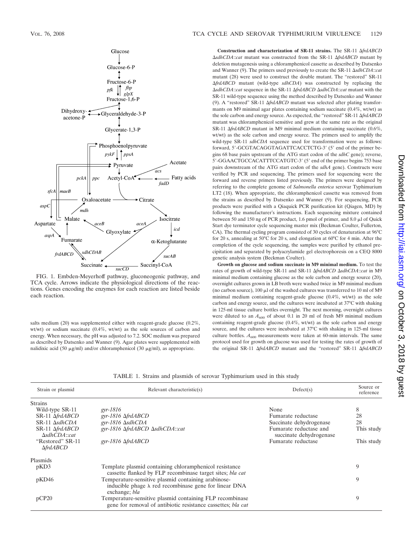

FIG. 1. Embden-Meyerhoff pathway, gluconeogenic pathway, and TCA cycle. Arrows indicate the physiological directions of the reactions. Genes encoding the enzymes for each reaction are listed beside each reaction.

salts medium (20) was supplemented either with reagent-grade glucose (0.2%, wt/wt) or sodium succinate (0.4%, wt/wt) as the sole sources of carbon and energy. When necessary, the pH was adjusted to 7.2. SOC medium was prepared as described by Datsenko and Wanner (9). Agar plates were supplemented with nalidixic acid (50  $\mu$ g/ml) and/or chloramphenicol (30  $\mu$ g/ml), as appropriate.

Construction and characterization of SR-11 strains. The SR-11  $\Delta frdABCD$ -*sdhCDA*::*cat* mutant was constructed from the SR-11 -*frdABCD* mutant by deletion mutagenesis using a chloramphenicol cassette as described by Datsenko and Wanner (9). The primers used previously to create the SR-11  $\Delta$ sdhCDA::*cat* mutant (28) were used to construct the double mutant. The "restored" SR-11 -*frdABCD* mutant (wild-type *sdhCDA*) was constructed by replacing the AsdhCDA::cat sequence in the SR-11 ΔfrdABCD ΔsdhCDA::cat mutant with the SR-11 wild-type sequence using the method described by Datsenko and Wanner (9). A "restored" SR-11  $\Delta frdABCD$  mutant was selected after plating transformants on M9 minimal agar plates containing sodium succinate (0.4%, wt/wt) as the sole carbon and energy source. As expected, the "restored" SR-11  $\Delta frdABCD$ mutant was chloramphenicol sensitive and grew at the same rate as the original SR-11  $\Delta f r dABCD$  mutant in M9 minimal medium containing succinate (0.6%, wt/wt) as the sole carbon and energy source. The primers used to amplify the wild-type SR-11 *sdhCDA* sequence used for transformation were as follows: forward, 5'-GCGTACAGGTAGATTCACCTCTG-3' (5' end of the primer begins 68 base pairs upstream of the ATG start codon of the *sdhC* gene); reverse, 5'-GGAACTGCCACATTTCCATGTC-3' (5' end of the primer begins 753 base pairs downstream of the ATG start codon of the *sdhA* gene). Constructs were verified by PCR and sequencing. The primers used for sequencing were the forward and reverse primers listed previously. The primers were designed by referring to the complete genome of *Salmonella enterica* serovar Typhimurium LT2 (18). When appropriate, the chloramphenicol cassette was removed from the strains as described by Datsenko and Wanner (9). For sequencing, PCR products were purified with a Qiaquick PCR purification kit (Qiagen, MD) by following the manufacturer's instructions. Each sequencing mixture contained between 50 and 150 ng of PCR product, 1.6 pmol of primer, and 8.0  $\mu$ l of Quick Start dye terminator cycle sequencing master mix (Beckman Coulter, Fullerton, CA). The thermal cycling program consisted of 30 cycles of denaturation at 96°C for 20 s, annealing at 50°C for 20 s, and elongation at 60°C for 4 min. After the completion of the cycle sequencing, the samples were purified by ethanol precipitation and separated by polyacrylamide gel electrophoresis on a CEQ 8000 genetic analysis system (Beckman Coulter).

**Growth on glucose and sodium succinate in M9 minimal medium.** To test the rates of growth of wild-type SR-11 and SR-11  $\Delta frdABCD \Delta sdhCDA$ ::*cat* in M9 minimal medium containing glucose as the sole carbon and energy source (20), overnight cultures grown in LB broth were washed twice in M9 minimal medium (no carbon source), 100  $\mu$ l of the washed cultures was transferred to 10 ml of M9 minimal medium containing reagent-grade glucose (0.4%, wt/wt) as the sole carbon and energy source, and the cultures were incubated at 37°C with shaking in 125-ml tissue culture bottles overnight. The next morning, overnight cultures were diluted to an  $A_{600}$  of about 0.1 in 20 ml of fresh M9 minimal medium containing reagent-grade glucose (0.4%, wt/wt) as the sole carbon and energy source, and the cultures were incubated at 37°C with shaking in 125-ml tissue culture bottles.  $A_{600}$  measurements were taken at 60-min intervals. The same protocol used for growth on glucose was used for testing the rates of growth of the original SR-11  $\Delta frdABCD$  mutant and the "restored" SR-11  $\Delta frdABCD$ 

| TABLE 1. Strains and plasmids of serovar Typhimurium used in this study |  |  |  |  |  |  |  |  |  |  |  |  |  |
|-------------------------------------------------------------------------|--|--|--|--|--|--|--|--|--|--|--|--|--|
|-------------------------------------------------------------------------|--|--|--|--|--|--|--|--|--|--|--|--|--|

| Strain or plasmid                         | Relevant characteristic(s)                                                                                                            | Defect(s)                                         | Source or<br>reference |
|-------------------------------------------|---------------------------------------------------------------------------------------------------------------------------------------|---------------------------------------------------|------------------------|
| <b>Strains</b>                            |                                                                                                                                       |                                                   |                        |
| Wild-type SR-11                           | $gyr-1816$                                                                                                                            | None                                              | 8                      |
| SR-11 AfrdABCD                            | gyr-1816 $\Delta$ frd $ABCD$                                                                                                          | Fumarate reductase                                | 28                     |
| $SR-11$ $\Delta$ sdhCDA                   | gyr-1816 $\Delta$ sdhCDA                                                                                                              | Succinate dehydrogenase                           | 28                     |
| SR-11 AfrdABCD<br>$\Delta$ sdhCDA::cat    | gyr-1816 AfrdABCD AsdhCDA::cat                                                                                                        | Fumarate reductase and<br>succinate dehydrogenase | This study             |
| "Restored" SR-11<br>$\triangle f r dABCD$ | $gyr-1816$ $\Delta frdABCD$                                                                                                           | Fumarate reductase                                | This study             |
| Plasmids                                  |                                                                                                                                       |                                                   |                        |
| pKD3                                      | Template plasmid containing chloramphenicol resistance<br>cassette flanked by FLP recombinase target sites; bla cat                   |                                                   | 9                      |
| pKD46                                     | Temperature-sensitive plasmid containing arabinose-<br>inducible phage $\lambda$ red recombinase gene for linear DNA<br>exchange; bla |                                                   | 9                      |
| pCP20                                     | Temperature-sensitive plasmid containing FLP recombinase<br>gene for removal of antibiotic resistance cassettes; bla cat              |                                                   | 9                      |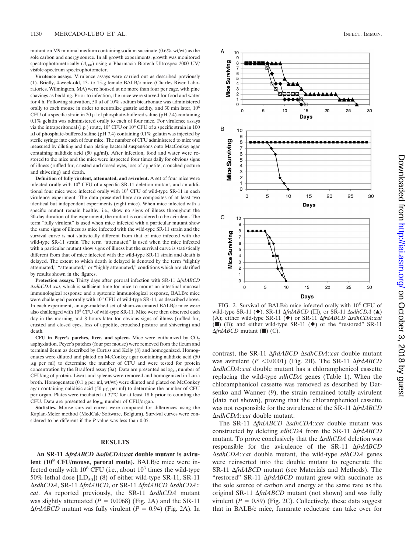mutant on M9 minimal medium containing sodium succinate (0.6%, wt/wt) as the sole carbon and energy source. In all growth experiments, growth was monitored spectrophotometrically  $(A_{600})$  using a Pharmacia Biotech Ultrospec 2000 UV/ visible-spectrum spectrophotometer.

**Virulence assays.** Virulence assays were carried out as described previously (1). Briefly, 4-week-old, 13- to 15-g female BALB/c mice (Charles River Laboratories, Wilmington, MA) were housed at no more than four per cage, with pine shavings as bedding. Prior to infection, the mice were starved for food and water for 4 h. Following starvation, 50  $\mu$ l of 10% sodium bicarbonate was administered orally to each mouse in order to neutralize gastric acidity, and 30 min later,  $10^8$ CFU of a specific strain in 20  $\mu$ l of phosphate-buffered saline (pH 7.4) containing 0.1% gelatin was administered orally to each of four mice. For virulence assays via the intraperitoneal (i.p.) route,  $10^3$  CFU or  $10^4$  CFU of a specific strain in 100  $\mu$ l of phosphate-buffered saline (pH 7.4) containing 0.1% gelatin was injected by sterile syringe into each of four mice. The number of CFU administered to mice was measured by diluting and then plating bacterial suspensions onto MacConkey agar containing nalidixic acid (50  $\mu$ g/ml). After infection, food and water were restored to the mice and the mice were inspected four times daily for obvious signs of illness (ruffled fur, crusted and closed eyes, loss of appetite, crouched posture and shivering) and death.

**Definition of fully virulent, attenuated, and avirulent.** A set of four mice were infected orally with 10<sup>8</sup> CFU of a specific SR-11 deletion mutant, and an additional four mice were infected orally with  $10^8$  CFU of wild-type SR-11 in each virulence experiment. The data presented here are composites of at least two identical but independent experiments (eight mice). When mice infected with a specific mutant remain healthy, i.e., show no signs of illness throughout the 30-day duration of the experiment, the mutant is considered to be avirulent. The term "fully virulent" is used when mice infected with a particular mutant show the same signs of illness as mice infected with the wild-type SR-11 strain and the survival curve is not statistically different from that of mice infected with the wild-type SR-11 strain. The term "attenuated" is used when the mice infected with a particular mutant show signs of illness but the survival curve is statistically different from that of mice infected with the wild-type SR-11 strain and death is delayed. The extent to which death is delayed is denoted by the term "slightly attenuated," "attenuated," or "highly attenuated," conditions which are clarified by results shown in the figures.

Protection assays. Thirty days after peroral infection with SR-11 AfrdABCD -*sdhCDA*::*cat*, which is sufficient time for mice to mount an intestinal mucosal immunological response and a systemic immunological response, BALB/c mice were challenged perorally with 10<sup>8</sup> CFU of wild-type SR-11, as described above. In each experiment, an age-matched set of sham-vaccinated BALB/c mice were also challenged with  $10^8$  CFU of wild-type SR-11. Mice were then observed each day in the morning and 8 hours later for obvious signs of illness (ruffled fur, crusted and closed eyes, loss of appetite, crouched posture and shivering) and death.

CFU in Peyer's patches, liver, and spleen. Mice were euthanized by  $CO<sub>2</sub>$ asphyxiation. Peyer's patches (four per mouse) were removed from the ileum and terminal ileum as described by Curtiss and Kelly (8) and homogenized. Homogenates were diluted and plated on McConkey agar containing nalidixic acid (50 g per ml) to determine the number of CFU and were tested for protein concentration by the Bradford assay (3a). Data are presented as  $log_{10}$  number of CFU/mg of protein. Livers and spleens were removed and homogenized in Luria broth. Homogenates (0.1 g per ml, wt/wt) were diluted and plated on McConkey agar containing nalidixic acid (50  $\mu$ g per ml) to determine the number of CFU per organ. Plates were incubated at 37°C for at least 18 h prior to counting the CFU. Data are presented as  $log_{10}$  number of CFU/organ.

**Statistics.** Mouse survival curves were compared for differences using the Kaplan-Meier method (MedCalc Software, Belgium). Survival curves were considered to be different if the *P* value was less than 0.05.

#### **RESULTS**

An SR-11  $\triangle$ *frdABCD*  $\triangle$ *sdhCDA*::*cat* double mutant is aviru**lent (108 CFU/mouse, peroral route).** BALB/c mice were infected orally with  $10^8$  CFU (i.e., about  $10^3$  times the wild-type 50% lethal dose  $[LD_{50}]$ ) (8) of either wild-type SR-11, SR-11  $\Delta$ sdhCDA, SR-11  $\Delta$ frdABCD, or SR-11  $\Delta$ frdABCD  $\Delta$ sdhCDA:: cat. As reported previously, the SR-11  $\Delta$ sdhCDA mutant was slightly attenuated  $(P = 0.0068)$  (Fig. 2A) and the SR-11  $\Delta f r dA B C D$  mutant was fully virulent ( $P = 0.94$ ) (Fig. 2A). In



FIG. 2. Survival of BALB/c mice infected orally with 10<sup>8</sup> CFU of wild-type SR-11 (◆), SR-11  $\Delta frdABCD$  (□), or SR-11  $\Delta sdhCD$  (▲) (A); either wild-type SR-11 (◆) or SR-11  $\Delta$ *frdABCD*  $\Delta$ *sdhCDA*:*:cat* ( $\blacksquare$ ) (B); and either wild-type SR-11 ( $\blacklozenge$ ) or the "restored" SR-11  $\Delta \text{frd}$ *ABCD* mutant (i) (C).

contrast, the SR-11  $\Delta$ *frdABCD*  $\Delta$ *sdhCDA*::*cat* double mutant was avirulent (*P* <0.0001) (Fig. 2B). The SR-11  $\Delta frdABCD$ -*sdhCDA*::*cat* double mutant has a chloramphenicol cassette replacing the wild-type *sdhCDA* genes (Table 1). When the chloramphenicol cassette was removed as described by Datsenko and Wanner (9), the strain remained totally avirulent (data not shown), proving that the chloramphenicol cassette was not responsible for the avirulence of the SR-11  $\Delta frdABCD$ -*sdhCDA*::*cat* double mutant.

The SR-11  $\Delta frdABCD \Delta sdhCDA::cat$  double mutant was constructed by deleting *sdhCDA* from the SR-11  $\Delta frdABCD$ mutant. To prove conclusively that the  $\Delta$ *sdhCDA* deletion was responsible for the avirulence of the SR-11  $\Delta frdABCD$ -*sdhCDA*::*cat* double mutant, the wild-type *sdhCDA* genes were reinserted into the double mutant to regenerate the SR-11  $\Delta frdABCD$  mutant (see Materials and Methods). The "restored" SR-11  $\Delta frdABCD$  mutant grew with succinate as the sole source of carbon and energy at the same rate as the original SR-11  $\Delta frdABCD$  mutant (not shown) and was fully virulent ( $P = 0.89$ ) (Fig. 2C). Collectively, these data suggest that in BALB/c mice, fumarate reductase can take over for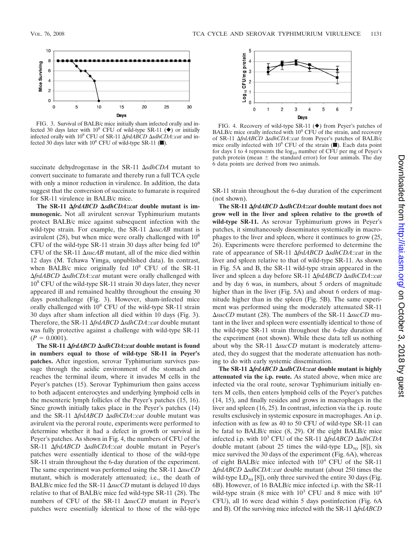

FIG. 3. Survival of BALB/c mice initially sham infected orally and infected 30 days later with  $10^8$  CFU of wild-type SR-11 ( $\blacklozenge$ ) or initially infected orally with 10<sup>8</sup> CFU of SR-11  $\Delta f r d\overrightarrow{AB}$ CD  $\Delta s dhCD$ *d*:*:cat* and infected 30 days later with  $10^8$  CFU of wild-type SR-11 ( $\blacksquare$ ).

succinate dehydrogenase in the SR-11  $\Delta$ *sdhCDA* mutant to convert succinate to fumarate and thereby run a full TCA cycle with only a minor reduction in virulence. In addition, the data suggest that the conversion of succinate to fumarate is required for SR-11 virulence in BALB/c mice.

The SR-11  $\triangle$ *frdABCD*  $\triangle$ *sdhCDA***:***cat* double mutant is im**munogenic.** Not all avirulent serovar Typhimurium mutants protect BALB/c mice against subsequent infection with the wild-type strain. For example, the SR-11  $\Delta$ sucAB mutant is avirulent  $(28)$ , but when mice were orally challenged with  $10<sup>8</sup>$ CFU of the wild-type SR-11 strain 30 days after being fed  $10^8$ CFU of the SR-11  $\Delta$ *sucAB* mutant, all of the mice died within 12 days (M. Tchawa Yimga, unpublished data). In contrast, when BALB/c mice originally fed  $10^8$  CFU of the SR-11  $\Delta f r dA B C D \Delta s d h C D A$ ::*cat* mutant were orally challenged with  $10^8$  CFU of the wild-type SR-11 strain 30 days later, they never appeared ill and remained healthy throughout the ensuing 30 days postchallenge (Fig. 3). However, sham-infected mice orally challenged with  $10^8$  CFU of the wild-type SR-11 strain 30 days after sham infection all died within 10 days (Fig. 3). Therefore, the SR-11  $\Delta frdABCD \Delta sdhCDA$ ::*cat* double mutant was fully protective against a challenge with wild-type SR-11  $(P = 0.0001).$ 

The SR-11 ∆frdABCD ∆sdhCDA::*cat* double mutant is found **in numbers equal to those of wild-type SR-11 in Peyer's patches.** After ingestion, serovar Typhimurium survives passage through the acidic environment of the stomach and reaches the terminal ileum, where it invades M cells in the Peyer's patches (15). Serovar Typhimurium then gains access to both adjacent enterocytes and underlying lymphoid cells in the mesenteric lymph follicles of the Peyer's patches (15, 16). Since growth initially takes place in the Peyer's patches (14) and the SR-11  $\Delta f r dA B C D \Delta s d h C D A$ ::*cat* double mutant was avirulent via the peroral route, experiments were performed to determine whether it had a defect in growth or survival in Peyer's patches. As shown in Fig. 4, the numbers of CFU of the SR-11  $\Delta frdABCD \Delta sdhCDA::cat$  double mutant in Peyer's patches were essentially identical to those of the wild-type SR-11 strain throughout the 6-day duration of the experiment. The same experiment was performed using the SR-11  $\Delta succ$ mutant, which is moderately attenuated; i.e., the death of BALB/c mice fed the SR-11  $\Delta succCD$  mutant is delayed 10 days relative to that of BALB/c mice fed wild-type SR-11 (28). The numbers of CFU of the SR-11  $\Delta succCD$  mutant in Peyer's patches were essentially identical to those of the wild-type



FIG. 4. Recovery of wild-type SR-11  $(\blacklozenge)$  from Peyer's patches of BALB/c mice orally infected with  $10^8$  CFU of the strain, and recovery of SR-11 Δ*frdABCD* ΔsdhCDA::*cat* from Peyer's patches of BALB/c mice orally infected with  $10^8$  CFU of the strain  $(\blacksquare)$ . Each data point for days 1 to 4 represents the  $log_{10}$  number of CFU per mg of Peyer's patch protein (mean  $\pm$  the standard error) for four animals. The day 6 data points are derived from two animals.

SR-11 strain throughout the 6-day duration of the experiment (not shown).

**The SR-11** *frdABCD sdhCDA***::***cat* **double mutant does not grow well in the liver and spleen relative to the growth of wild-type SR-11.** As serovar Typhimurium grows in Peyer's patches, it simultaneously disseminates systemically in macrophages to the liver and spleen, where it continues to grow (25, 26). Experiments were therefore performed to determine the rate of appearance of SR-11  $\Delta f r dABCD \Delta s dhCDA$ ::*cat* in the liver and spleen relative to that of wild-type SR-11. As shown in Fig. 5A and B, the SR-11 wild-type strain appeared in the liver and spleen a day before SR-11  $\Delta$ *frdABCD*  $\Delta$ *sdhCDA*::*cat* and by day 6 was, in numbers, about 5 orders of magnitude higher than in the liver (Fig. 5A) and about 6 orders of magnitude higher than in the spleen (Fig. 5B). The same experiment was performed using the moderately attenuated SR-11  $\Delta$ *sucCD* mutant (28). The numbers of the SR-11  $\Delta$ *sucCD* mutant in the liver and spleen were essentially identical to those of the wild-type SR-11 strain throughout the 6-day duration of the experiment (not shown). While these data tell us nothing about why the SR-11  $\Delta succCD$  mutant is moderately attenuated, they do suggest that the moderate attenuation has nothing to do with early systemic dissemination.

**The SR-11** *frdABCD sdhCDA***::***cat* **double mutant is highly attenuated via the i.p. route.** As stated above, when mice are infected via the oral route, serovar Typhimurium initially enters M cells, then enters lymphoid cells of the Peyer's patches (14, 15), and finally resides and grows in macrophages in the liver and spleen (16, 25). In contrast, infection via the i.p. route results exclusively in systemic exposure in macrophages. An i.p. infection with as few as 40 to 50 CFU of wild-type SR-11 can be fatal to BALB/c mice (8, 29). Of the eight BALB/c mice infected i.p. with 10<sup>3</sup> CFU of the SR-11 AfrdABCD AsdhCDA double mutant (about 25 times the wild-type  $LD_{50}$  [8]), six mice survived the 30 days of the experiment (Fig. 6A), whereas of eight BALB/c mice infected with  $10^4$  CFU of the SR-11  $\Delta f r dA B C D \Delta s d h C D A$ ::*cat* double mutant (about 250 times the wild-type  $LD_{50}$  [8]), only three survived the entire 30 days (Fig. 6B). However, of 16 BALB/c mice infected i.p. with the SR-11 wild-type strain (8 mice with  $10^3$  CFU and 8 mice with  $10^4$ CFU), all 16 were dead within 5 days postinfection (Fig. 6A and B). Of the surviving mice infected with the SR-11  $\Delta frdABCD$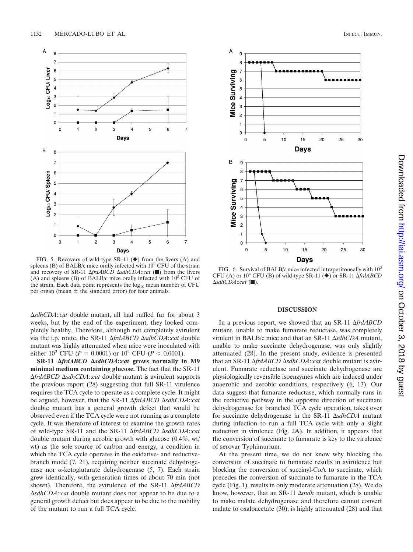

FIG. 5. Recovery of wild-type SR-11  $(\blacklozenge)$  from the livers (A) and spleens (B) of BALB/c mice orally infected with 10<sup>8</sup> CFU of the strain and recovery of SR-11 *∆frdABCD ∆sdhCDA::cat* (■) from the livers (A) and spleens (B) of BALB/c mice orally infected with  $10^8$  CFU of the strain. Each data point represents the  $log_{10}$  mean number of CFU per organ (mean  $\pm$  the standard error) for four animals.

-*sdhCDA*::*cat* double mutant, all had ruffled fur for about 3 weeks, but by the end of the experiment, they looked completely healthy. Therefore, although not completely avirulent via the i.p. route, the SR-11  $\Delta frdABCD \Delta sdhCDA$ :*cat* double mutant was highly attenuated when mice were inoculated with either  $10^3$  CFU (*P* = 0.0001) or  $10^4$  CFU (*P* < 0.0001).

**SR-11** *frdABCD sdhCDA***::***cat* **grows normally in M9 minimal medium containing glucose.** The fact that the SR-11  $\Delta f r dA B C D \Delta s d h C D A$ ::*cat* double mutant is avirulent supports the previous report (28) suggesting that full SR-11 virulence requires the TCA cycle to operate as a complete cycle. It might be argued, however, that the SR-11  $\Delta$ *frdABCD*  $\Delta$ *sdhCDA*::*cat* double mutant has a general growth defect that would be observed even if the TCA cycle were not running as a complete cycle. It was therefore of interest to examine the growth rates of wild-type SR-11 and the SR-11  $\Delta frdABCD \Delta sdhCDA::cat$ double mutant during aerobic growth with glucose (0.4%, wt/ wt) as the sole source of carbon and energy, a condition in which the TCA cycle operates in the oxidative- and reductivebranch mode (7, 21), requiring neither succinate dehydrogenase nor  $\alpha$ -ketoglutarate dehydrogenase (5, 7). Each strain grew identically, with generation times of about 70 min (not shown). Therefore, the avirulence of the SR-11  $\Delta frdABCD$ -*sdhCDA*::*cat* double mutant does not appear to be due to a general growth defect but does appear to be due to the inability of the mutant to run a full TCA cycle.



FIG. 6. Survival of BALB/c mice infected intraperitoneally with  $10^3$ CFU (A) or  $10^4$  CFU (B) of wild-type SR-11 ( $\blacklozenge$ ) or SR-11  $\Delta frdABCD$ **∆sdhCDA**::cat (■).

#### **DISCUSSION**

In a previous report, we showed that an SR-11 Δ*frdABCD* mutant, unable to make fumarate reductase, was completely virulent in BALB/c mice and that an SR-11  $\Delta$ *sdhCDA* mutant, unable to make succinate dehydrogenase, was only slightly attenuated (28). In the present study, evidence is presented that an SR-11  $\Delta frdABCD \Delta sdhCDA$ ::*cat* double mutant is avirulent. Fumarate reductase and succinate dehydrogenase are physiologically reversible isoenzymes which are induced under anaerobic and aerobic conditions, respectively (6, 13). Our data suggest that fumarate reductase, which normally runs in the reductive pathway in the opposite direction of succinate dehydrogenase for branched TCA cycle operation, takes over for succinate dehydrogenase in the SR-11  $\Delta$ sdhCDA mutant during infection to run a full TCA cycle with only a slight reduction in virulence (Fig. 2A). In addition, it appears that the conversion of succinate to fumarate is key to the virulence of serovar Typhimurium.

At the present time, we do not know why blocking the conversion of succinate to fumarate results in avirulence but blocking the conversion of succinyl-CoA to succinate, which precedes the conversion of succinate to fumarate in the TCA cycle (Fig. 1), results in only moderate attenuation (28). We do know, however, that an SR-11  $\Delta$ *mdh* mutant, which is unable to make malate dehydrogenase and therefore cannot convert malate to oxaloacetate (30), is highly attenuated (28) and that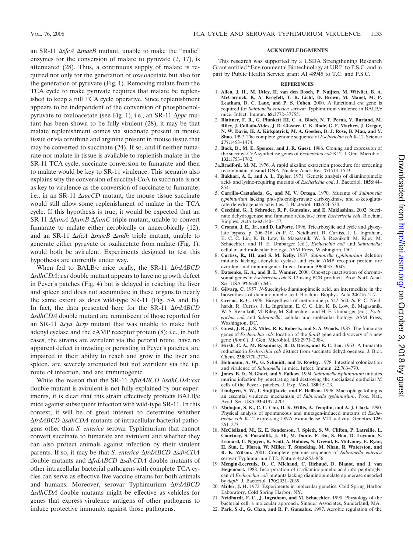an SR-11  $\Delta$ *sfcA*  $\Delta$ *maeB* mutant, unable to make the "malic" enzymes for the conversion of malate to pyruvate (2, 17), is attenuated (28). Thus, a continuous supply of malate is required not only for the generation of oxaloacetate but also for the generation of pyruvate (Fig. 1). Removing malate from the TCA cycle to make pyruvate requires that malate be replenished to keep a full TCA cycle operative. Since replenishment appears to be independent of the conversion of phosphoenolpyruvate to oxaloacetate (see Fig. 1), i.e., an SR-11 Δ*ppc* mutant has been shown to be fully virulent (28), it may be that malate replenishment comes via succinate present in mouse tissue or via ornithine and arginine present in mouse tissue that may be converted to succinate (24). If so, and if neither fumarate nor malate in tissue is available to replenish malate in the SR-11 TCA cycle, succinate conversion to fumarate and then to malate would be key to SR-11 virulence. This scenario also explains why the conversion of succinyl-CoA to succinate is not as key to virulence as the conversion of succinate to fumarate; i.e., in an SR-11  $\Delta$ *sucCD* mutant, the mouse tissue succinate would still allow some replenishment of malate in the TCA cycle. If this hypothesis is true, it would be expected that an SR-11  $\Delta f$ *umA*  $\Delta f$ *umB*  $\Delta f$ *umC* triple mutant, unable to convert fumarate to malate either aerobically or anaerobically (12), and an SR-11  $\Delta$ sfcA  $\Delta$ *maeB*  $\Delta$ *mdh* triple mutant, unable to generate either pyruvate or oxalacetate from malate (Fig. 1), would both be avirulent. Experiments designed to test this hypothesis are currently under way.

When fed to BALB/c mice orally, the SR-11  $\Delta frdABCD$ -*sdhCDA*::*cat* double mutant appears to have no growth defect in Peyer's patches (Fig. 4) but is delayed in reaching the liver and spleen and does not accumulate in these organs to nearly the same extent as does wild-type SR-11 (Fig. 5A and B). In fact, the data presented here for the SR-11  $\Delta frdABCD$ -*sdhCDA* double mutant are reminiscent of those reported for an SR-11  $\Delta$ *cya*  $\Delta$ *crp* mutant that was unable to make both adenyl cyclase and the cAMP receptor protein (8); i.e., in both cases, the strains are avirulent via the peroral route, have no apparent defect in invading or persisting in Peyer's patches, are impaired in their ability to reach and grow in the liver and spleen, are severely attenuated but not avirulent via the i.p. route of infection, and are immunogenic.

While the reason that the SR-11  $\Delta frdABCD \Delta sdhCDA$ :*cat* double mutant is avirulent is not fully explained by our experiments, it is clear that this strain effectively protects BALB/c mice against subsequent infection with wild-type SR-11. In this context, it will be of great interest to determine whether  $\Delta f r dA B C D \Delta s d h C D A$  mutants of intracellular bacterial pathogens other than *S. enterica* serovar Typhimurium that cannot convert succinate to fumarate are avirulent and whether they can also protect animals against infection by their virulent parents. If so, it may be that *S. enterica*  $\Delta$ *frdABCD*  $\Delta$ *sdhCDA* double mutants and Δ*frdABCD* ΔsdhCDA double mutants of other intracellular bacterial pathogens with complete TCA cycles can serve as effective live vaccine strains for both animals and humans. Moreover, serovar Typhimurium AfrdABCD -*sdhCDA* double mutants might be effective as vehicles for genes that express virulence antigens of other pathogens to induce protective immunity against those pathogens.

#### **ACKNOWLEDGMENTS**

This research was supported by a USDA Strengthening Research Grant entitled "Environmental Biotechnology at URI" to P.S.C. and in part by Public Health Service grant AI 48945 to T.C. and P.S.C.

#### **REFERENCES**

- 1. **Allen, J. H., M. Utley, H. van den Bosch, P. Nuijten, M. Witvliet, B. A. McCormick, K. A. Krogfelt, T. R. Licht, D. Brown, M. Mauel, M. P. Leatham, D. C. Laux, and P. S. Cohen.** 2000. A functional *cra* gene is required for *Salmonella enterica* serovar Typhimurium virulence in BALB/c mice. Infect. Immun. **68:**3772–37755.
- 2. **Blattner, F. R., G. Plunkett III, C. A. Bloch, N. T. Perna, V. Burland, M. Riley, J. Collado-Vides, J. D. Glasner, C. K. Rode, G. F. Mayhew, J. Gregor, N. W. Davis, H. A. Kirkpatrick, M. A. Goeden, D. J. Rose, B. Mau, and Y. Shao.** 1997. The complete genome sequence of *Escherichia coli* K-12. Science **277:**1453–1474.
- 3. **Buck, D., M. E. Spencer, and J. R. Guest.** 1986. Cloning and expression of the succinyl-CoA synthetase genes of *Escherichia coli* K12. J. Gen. Microbiol. **132:**1753–1762.
- 3a.**Bradford, M. M.** 1976. A rapid alkaline extraction procedure for screening recombinant plasmid DNA. Nucleic Acids Res. **7:**1513–1523.
- 4. **Bukhari, A. I., and A. L. Taylor.** 1971. Genetic analysis of diaminopimelic acid- and lysine-requiring mutants of *Escherichia coli*. J. Bacteriol. **105:**844– 854.
- 5. **Carrillo-Castan˜eda, G., and M. V. Ortega.** 1970. Mutants of *Salmonella typhimurium* lacking phosphoenolpyruvate carboxykinase and  $\alpha$ -ketoglutarate dehydrogenase activities. J. Bacteriol. **102:**524–530.
- 6. **Cecchini, G., I. Schroder, R. P. Gunsalus, and E. Maklashina.** 2002. Succinate dehydrogenase and fumarate reductase from *Escherichia coli*. Biochim. Biophys. Acta **1553:**140–157.
- 7. **Cronan, J. E., Jr., and D. LaPorte.** 1996. Tricarboxylic acid cycle and glyoxylate bypass, p. 206–216. *In* F. C. Neidhardt, R. Curtiss, J. L. Ingraham, E. C. C. Lin, K. B. Low, B. Magasanik, W. S. Reznikoff, M. Riley, M. Schaechter, and H. E. Umbarger (ed.), *Escherichia coli* and *Salmonella*: cellular and molecular biology. ASM Press, Washington, DC.
- 8. **Curtiss, R., III, and S. M. Kelly.** 1987. *Salmonella typhimurium* deletion mutants lacking adenylate cyclase and cyclic AMP receptor protein are avirulent and immunogenic. Infect. Immun. **55:**3035–3043.
- 9. **Datsenko, K. A., and B. L. Wanner.** 2000. One-step inactivation of chromosomal genes in *Escherichia coli* K-12 using PCR products. Proc. Natl. Acad. Sci. USA **97:**6640–6645.
- 10. **Gilvarg, C.** 1957. *N*-Succinyl-L-diaminopimelic acid, an intermediate in the biosynthesis of diaminopimelic acid. Biochim. Biophys. Acta **24:**216–217.
- 11. **Greene, R. C.** 1996. Biosynthesis of methionine p. 542–560. *In* F. C. Neidhardt, R. Curtiss, J. L. Ingraham, E. C. C. Lin, K. B. Low, B. Magasanik, W. S. Reznikoff, M. Riley, M. Schaechter, and H. E. Umbarger (ed.), *Escherichia coli* and *Salmonella*: cellular and molecular biology. ASM Press, Washington, DC.
- 12. **Guest, J. R., J. S. Miles, R. E. Roberts, and S. A. Woods.** 1985. The fumarase genes of *Escherichia coli*: location of the *fumB* gene and discovery of a new gene (*fumC*). J. Gen. Microbiol. **131:**2971–2984.
- 13. **Hirsh, C. A., M. Rasminsky, B. D. Davis, and E. C. Lin.** 1963. A fumarate reductase in *Escherichia coli* distinct from succinate dehydrogenase. J. Biol. Chem. **238:**3770–3774.
- 14. **Hohmann, A. W., G. Schmidt, and D. Rowley.** 1978. Intestinal colonization and virulence of *Salmonella* in mice. Infect. Immun. **22:**763–770.
- 15. **Jones, B. D., N. Ghori, and S. Falkow.** 1994. *Salmonella typhimurium* initiates murine infection by penetrating and destroying the specialized epithelial M cells of the Peyer's patches. J. Exp. Med. **180:**15–23.
- 16. **Lindgren, S. W., I. Stojiljkovic, and F. Heffron.** 1996. Macrophage killing is an essential virulence mechanism of *Salmonella typhimurium*. Proc. Natl. Acad. Sci. USA **93:**4197–4201.
- 17. **Mahajan, S. K., C. C. Chu, D. K. Willis, A. Templin, and A. J. Clark.** 1990. Physical analysis of spontaneous and mutagen-induced mutants of *Escherichia coli* K-12 expressing DNA exonuclease VIII activity. Genetics **125:** 261–273.
- 18. **McClelland, M., K. E. Sanderson, J. Spieth, S. W. Clifton, P. Latreille, L. Courtney, S. Porwollik, J. Ali, M. Dante, F. Du, S. Hou, D. Layman, S. Leonard, C. Nguyen, K. Scott, A. Holmes, N. Grewal, E. Mulvaney, E. Ryan, H. Sun, L. Florea, W. Miller, T. Stoneking, M. Nhan, R. Waterston, and R. K. Wilson.** 2001. Complete genome sequence of *Salmonella enterica* serovar Typhimurium LT2. Nature **413:**852–856.
- 19. **Mengin-Lecreulx, D., C. Michaud, C. Richaud, D. Blanot, and J. van** Heijenoort. 1988. Incorporation of LL-diaminopimelic acid into peptidoglycan of *Escherichia coli* mutants lacking diaminopimelate epimerase encoded by *dapF*. J. Bacteriol. **170:**2031–2039.
- 20. **Miller, J. H.** 1972. Experiments in molecular genetics. Cold Spring Harbor Laboratory, Cold Spring Harbor, NY.
- 21. **Neidhardt, F. C., J. Ingraham, and M. Schaechter.** 1990. Physiology of the bacterial cell: a molecular approach. Sinauer Associates, Sunderland, MA.
- 22. **Park, S.-J., G. Chao, and R. P. Gunsalus.** 1997. Aerobic regulation of the